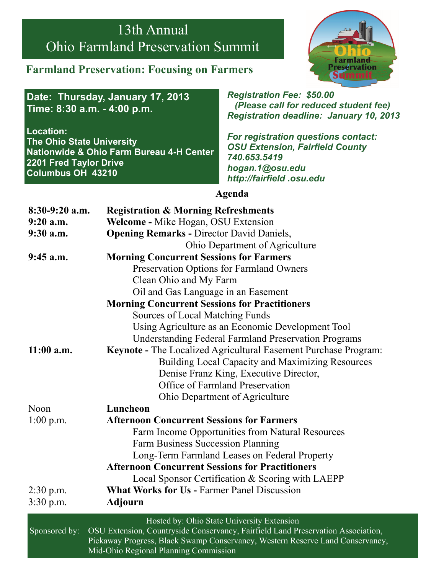# 13th Annual Ohio Farmland Preservation Summit

#### **Farmland Preservation: Focusing on Farmers**



**Date: Thursday, January 17, 2013 Time: 8:30 a.m. - 4:00 p.m.** 

**Location: The Ohio State University Nationwide & Ohio Farm Bureau 4-H Center 2201 Fred Taylor Drive Columbus OH 43210** 

*Registration Fee: \$50.00 (Please call for reduced student fee) Registration deadline: January 10, 2013* 

*For registration questions contact: OSU Extension, Fairfield County 740.653.5419 hogan.1@osu.edu http://fairfield .osu.edu* 

**Agenda** 

| $8:30-9:20$ a.m. | <b>Registration &amp; Morning Refreshments</b>                                                                                                                    |  |  |  |
|------------------|-------------------------------------------------------------------------------------------------------------------------------------------------------------------|--|--|--|
| $9:20$ a.m.      | Welcome - Mike Hogan, OSU Extension                                                                                                                               |  |  |  |
| $9:30$ a.m.      | <b>Opening Remarks - Director David Daniels,</b>                                                                                                                  |  |  |  |
|                  | Ohio Department of Agriculture                                                                                                                                    |  |  |  |
| $9:45$ a.m.      | <b>Morning Concurrent Sessions for Farmers</b>                                                                                                                    |  |  |  |
|                  | Preservation Options for Farmland Owners                                                                                                                          |  |  |  |
|                  | Clean Ohio and My Farm                                                                                                                                            |  |  |  |
|                  | Oil and Gas Language in an Easement                                                                                                                               |  |  |  |
|                  | <b>Morning Concurrent Sessions for Practitioners</b>                                                                                                              |  |  |  |
|                  | <b>Sources of Local Matching Funds</b>                                                                                                                            |  |  |  |
|                  | Using Agriculture as an Economic Development Tool                                                                                                                 |  |  |  |
|                  | <b>Understanding Federal Farmland Preservation Programs</b>                                                                                                       |  |  |  |
| $11:00$ a.m.     | Keynote - The Localized Agricultural Easement Purchase Program:                                                                                                   |  |  |  |
|                  | <b>Building Local Capacity and Maximizing Resources</b>                                                                                                           |  |  |  |
|                  | Denise Franz King, Executive Director,                                                                                                                            |  |  |  |
|                  | <b>Office of Farmland Preservation</b>                                                                                                                            |  |  |  |
|                  | Ohio Department of Agriculture                                                                                                                                    |  |  |  |
| Noon             | Luncheon                                                                                                                                                          |  |  |  |
| 1:00 p.m.        | <b>Afternoon Concurrent Sessions for Farmers</b>                                                                                                                  |  |  |  |
|                  | Farm Income Opportunities from Natural Resources                                                                                                                  |  |  |  |
|                  | <b>Farm Business Succession Planning</b>                                                                                                                          |  |  |  |
|                  | Long-Term Farmland Leases on Federal Property                                                                                                                     |  |  |  |
|                  | <b>Afternoon Concurrent Sessions for Practitioners</b>                                                                                                            |  |  |  |
|                  | Local Sponsor Certification & Scoring with LAEPP                                                                                                                  |  |  |  |
| $2:30$ p.m.      | <b>What Works for Us - Farmer Panel Discussion</b>                                                                                                                |  |  |  |
| $3:30$ p.m.      | <b>Adjourn</b>                                                                                                                                                    |  |  |  |
|                  | Hosted by: Ohio State University Extension                                                                                                                        |  |  |  |
| Sponsored by:    | OSU Extension, Countryside Conservancy, Fairfield Land Preservation Association,<br>Pickaway Progress, Black Swamp Conservancy, Western Reserve Land Conservancy, |  |  |  |

Mid-Ohio Regional Planning Commission